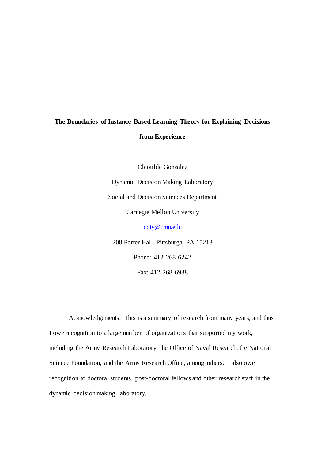# **The Boundaries of Instance-Based Learning Theory for Explaining Decisions from Experience**

Cleotilde Gonzalez Dynamic Decision Making Laboratory Social and Decision Sciences Department Carnegie Mellon University [coty@cmu.edu](mailto:coty@cmu.edu)

208 Porter Hall, Pittsburgh, PA 15213 Phone: 412-268-6242 Fax: 412-268-6938

Acknowledgements: This is a summary of research from many years, and thus I owe recognition to a large number of organizations that supported my work, including the Army Research Laboratory, the Office of Naval Research, the National Science Foundation, and the Army Research Office, among others. I also owe recognition to doctoral students, post-doctoral fellows and other research staff in the dynamic decision making laboratory.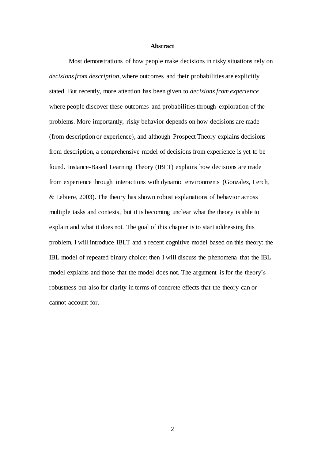### **Abstract**

Most demonstrations of how people make decisions in risky situations rely on *decisions from description*, where outcomes and their probabilities are explicitly stated. But recently, more attention has been given to *decisions from experience* where people discover these outcomes and probabilities through exploration of the problems. More importantly, risky behavior depends on how decisions are made (from description or experience), and although Prospect Theory explains decisions from description, a comprehensive model of decisions from experience is yet to be found. Instance-Based Learning Theory (IBLT) explains how decisions are made from experience through interactions with dynamic environments (Gonzalez, Lerch, & Lebiere, 2003). The theory has shown robust explanations of behavior across multiple tasks and contexts, but it is becoming unclear what the theory is able to explain and what it does not. The goal of this chapter is to start addressing this problem. I will introduce IBLT and a recent cognitive model based on this theory: the IBL model of repeated binary choice; then I will discuss the phenomena that the IBL model explains and those that the model does not. The argument is for the theory's robustness but also for clarity in terms of concrete effects that the theory can or cannot account for.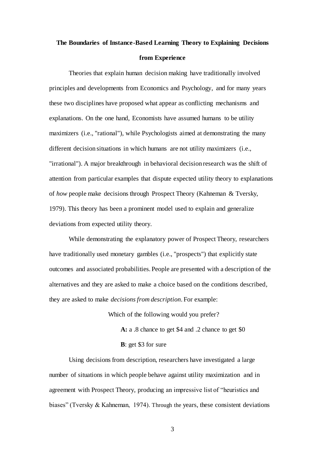# **The Boundaries of Instance-Based Learning Theory to Explaining Decisions from Experience**

Theories that explain human decision making have traditionally involved principles and developments from Economics and Psychology, and for many years these two disciplines have proposed what appear as conflicting mechanisms and explanations. On the one hand, Economists have assumed humans to be utility maximizers (i.e., "rational"), while Psychologists aimed at demonstrating the many different decision situations in which humans are not utility maximizers (i.e., "irrational"). A major breakthrough in behavioral decision research was the shift of attention from particular examples that dispute expected utility theory to explanations of *how* people make decisions through Prospect Theory (Kahneman & Tversky, 1979). This theory has been a prominent model used to explain and generalize deviations from expected utility theory.

While demonstrating the explanatory power of Prospect Theory, researchers have traditionally used monetary gambles (i.e., "prospects") that explicitly state outcomes and associated probabilities. People are presented with a description of the alternatives and they are asked to make a choice based on the conditions described, they are asked to make *decisions from description*. For example:

> Which of the following would you prefer? **A:** a .8 chance to get \$4 and .2 chance to get \$0 **B**: get \$3 for sure

Using decisions from description, researchers have investigated a large number of situations in which people behave against utility maximization and in agreement with Prospect Theory, producing an impressive list of "heuristics and biases" (Tversky & Kahneman, 1974). Through the years, these consistent deviations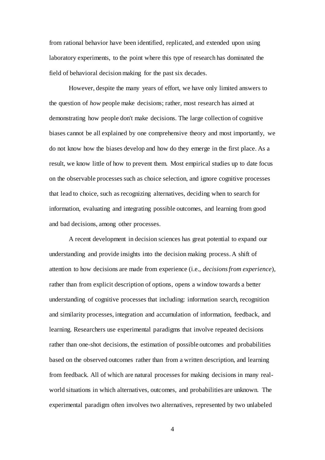from rational behavior have been identified, replicated, and extended upon using laboratory experiments, to the point where this type of research has dominated the field of behavioral decision making for the past six decades.

However, despite the many years of effort, we have only limited answers to the question of *how* people make decisions; rather, most research has aimed at demonstrating how people don't make decisions. The large collection of cognitive biases cannot be all explained by one comprehensive theory and most importantly, we do not know how the biases develop and how do they emerge in the first place. As a result, we know little of how to prevent them. Most empirical studies up to date focus on the observable processes such as choice selection, and ignore cognitive processes that lead to choice, such as recognizing alternatives, deciding when to search for information, evaluating and integrating possible outcomes, and learning from good and bad decisions, among other processes.

A recent development in decision sciences has great potential to expand our understanding and provide insights into the decision making process. A shift of attention to how decisions are made from experience (i.e., *decisions from experience*), rather than from explicit description of options, opens a window towards a better understanding of cognitive processes that including: information search, recognition and similarity processes, integration and accumulation of information, feedback, and learning. Researchers use experimental paradigms that involve repeated decisions rather than one-shot decisions, the estimation of possible outcomes and probabilities based on the observed outcomes rather than from a written description, and learning from feedback. All of which are natural processes for making decisions in many realworld situations in which alternatives, outcomes, and probabilities are unknown. The experimental paradigm often involves two alternatives, represented by two unlabeled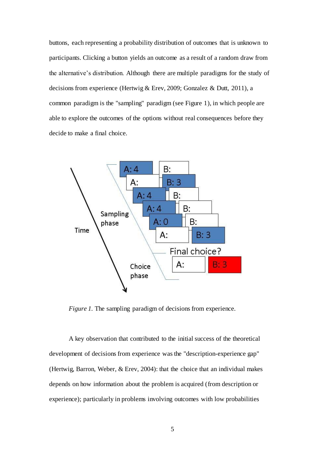buttons, each representing a probability distribution of outcomes that is unknown to participants. Clicking a button yields an outcome as a result of a random draw from the alternative's distribution. Although there are multiple paradigms for the study of decisions from experience (Hertwig & Erev, 2009; Gonzalez & Dutt, 2011), a common paradigm is the "sampling" paradigm (see Figure 1), in which people are able to explore the outcomes of the options without real consequences before they decide to make a final choice.



*Figure 1.* The sampling paradigm of decisions from experience.

A key observation that contributed to the initial success of the theoretical development of decisions from experience was the "description-experience gap" (Hertwig, Barron, Weber, & Erev, 2004): that the choice that an individual makes depends on how information about the problem is acquired (from description or experience); particularly in problems involving outcomes with low probabilities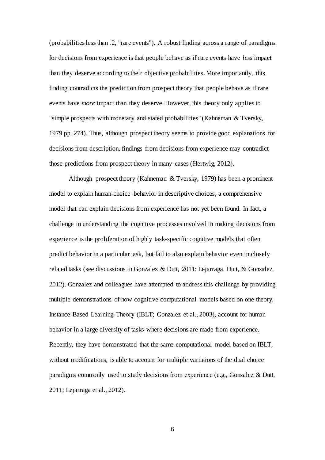(probabilities less than .2, "rare events"). A robust finding across a range of paradigms for decisions from experience is that people behave as if rare events have *less* impact than they deserve according to their objective probabilities. More importantly, this finding contradicts the prediction from prospect theory that people behave as if rare events have *more* impact than they deserve. However, this theory only applies to "simple prospects with monetary and stated probabilities" (Kahneman & Tversky, 1979 pp. 274). Thus, although prospect theory seems to provide good explanations for decisions from description, findings from decisions from experience may contradict those predictions from prospect theory in many cases (Hertwig, 2012).

Although prospect theory (Kahneman & Tversky, 1979) has been a prominent model to explain human-choice behavior in descriptive choices, a comprehensive model that can explain decisions from experience has not yet been found. In fact, a challenge in understanding the cognitive processes involved in making decisions from experience is the proliferation of highly task-specific cognitive models that often predict behavior in a particular task, but fail to also explain behavior even in closely related tasks (see discussions in Gonzalez & Dutt, 2011; Lejarraga, Dutt, & Gonzalez, 2012). Gonzalez and colleagues have attempted to address this challenge by providing multiple demonstrations of how cognitive computational models based on one theory, Instance-Based Learning Theory (IBLT; Gonzalez et al., 2003), account for human behavior in a large diversity of tasks where decisions are made from experience. Recently, they have demonstrated that the same computational model based on IBLT, without modifications, is able to account for multiple variations of the dual choice paradigms commonly used to study decisions from experience (e.g., Gonzalez & Dutt, 2011; Lejarraga et al., 2012).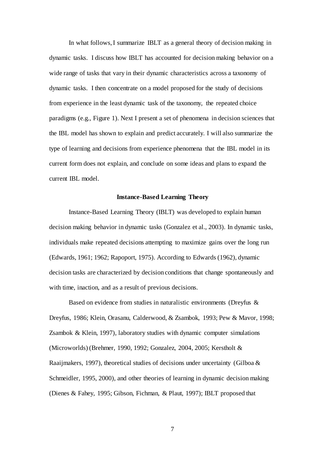In what follows, I summarize IBLT as a general theory of decision making in dynamic tasks. I discuss how IBLT has accounted for decision making behavior on a wide range of tasks that vary in their dynamic characteristics across a taxonomy of dynamic tasks. I then concentrate on a model proposed for the study of decisions from experience in the least dynamic task of the taxonomy, the repeated choice paradigms (e.g., Figure 1). Next I present a set of phenomena in decision sciences that the IBL model has shown to explain and predict accurately. I will also summarize the type of learning and decisions from experience phenomena that the IBL model in its current form does not explain, and conclude on some ideas and plans to expand the current IBL model.

### **Instance-Based Learning Theory**

Instance-Based Learning Theory (IBLT) was developed to explain human decision making behavior in dynamic tasks (Gonzalez et al., 2003). In dynamic tasks, individuals make repeated decisions attempting to maximize gains over the long run (Edwards, 1961; 1962; Rapoport, 1975). According to Edwards (1962), dynamic decision tasks are characterized by decision conditions that change spontaneously and with time, inaction, and as a result of previous decisions.

Based on evidence from studies in naturalistic environments (Dreyfus & Dreyfus, 1986; Klein, Orasanu, Calderwood, & Zsambok, 1993; Pew & Mavor, 1998; Zsambok & Klein, 1997), laboratory studies with dynamic computer simulations (Microworlds) (Brehmer, 1990, 1992; Gonzalez, 2004, 2005; Kerstholt & Raaijmakers, 1997), theoretical studies of decisions under uncertainty (Gilboa  $\&$ Schmeidler, 1995, 2000), and other theories of learning in dynamic decision making (Dienes & Fahey, 1995; Gibson, Fichman, & Plaut, 1997); IBLT proposed that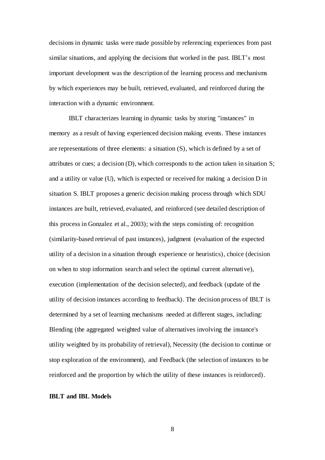decisions in dynamic tasks were made possible by referencing experiences from past similar situations, and applying the decisions that worked in the past. IBLT's most important development was the description of the learning process and mechanisms by which experiences may be built, retrieved, evaluated, and reinforced during the interaction with a dynamic environment.

IBLT characterizes learning in dynamic tasks by storing "instances" in memory as a result of having experienced decision making events. These instances are representations of three elements: a situation (S), which is defined by a set of attributes or cues; a decision (D), which corresponds to the action taken in situation S; and a utility or value (U), which is expected or received for making a decision D in situation S. IBLT proposes a generic decision making process through which SDU instances are built, retrieved, evaluated, and reinforced (see detailed description of this process in Gonzalez et al., 2003); with the steps consisting of: recognition (similarity-based retrieval of past instances), judgment (evaluation of the expected utility of a decision in a situation through experience or heuristics), choice (decision on when to stop information search and select the optimal current alternative), execution (implementation of the decision selected), and feedback (update of the utility of decision instances according to feedback). The decision process of IBLT is determined by a set of learning mechanisms needed at different stages, including: Blending (the aggregated weighted value of alternatives involving the instance's utility weighted by its probability of retrieval), Necessity (the decision to continue or stop exploration of the environment), and Feedback (the selection of instances to be reinforced and the proportion by which the utility of these instances is reinforced).

### **IBLT and IBL Models**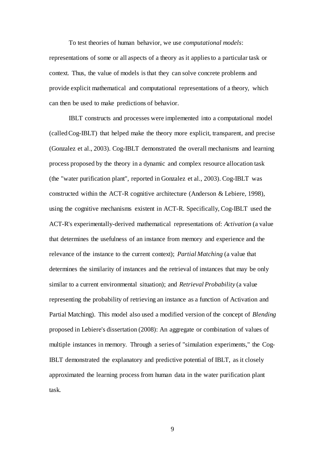To test theories of human behavior, we use *computational models*: representations of some or all aspects of a theory as it applies to a particular task or context. Thus, the value of models is that they can solve concrete problems and provide explicit mathematical and computational representations of a theory, which can then be used to make predictions of behavior.

IBLT constructs and processes were implemented into a computational model (called Cog-IBLT) that helped make the theory more explicit, transparent, and precise (Gonzalez et al., 2003). Cog-IBLT demonstrated the overall mechanisms and learning process proposed by the theory in a dynamic and complex resource allocation task (the "water purification plant", reported in Gonzalez et al., 2003). Cog-IBLT was constructed within the ACT-R cognitive architecture (Anderson & Lebiere, 1998), using the cognitive mechanisms existent in ACT-R. Specifically, Cog-IBLT used the ACT-R's experimentally-derived mathematical representations of: *Activation* (a value that determines the usefulness of an instance from memory and experience and the relevance of the instance to the current context); *Partial Matching* (a value that determines the similarity of instances and the retrieval of instances that may be only similar to a current environmental situation); and *Retrieval Probability* (a value representing the probability of retrieving an instance as a function of Activation and Partial Matching). This model also used a modified version of the concept of *Blending* proposed in Lebiere's dissertation (2008): An aggregate or combination of values of multiple instances in memory. Through a series of "simulation experiments," the Cog-IBLT demonstrated the explanatory and predictive potential of IBLT, as it closely approximated the learning process from human data in the water purification plant task.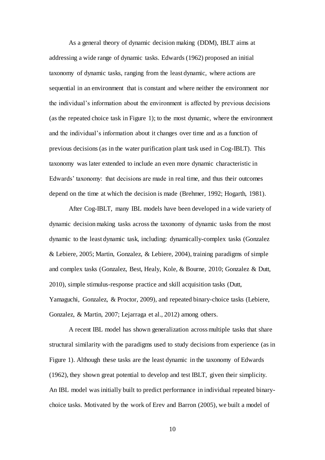As a general theory of dynamic decision making (DDM), IBLT aims at addressing a wide range of dynamic tasks. Edwards (1962) proposed an initial taxonomy of dynamic tasks, ranging from the least dynamic, where actions are sequential in an environment that is constant and where neither the environment nor the individual's information about the environment is affected by previous decisions (as the repeated choice task in Figure 1); to the most dynamic, where the environment and the individual's information about it changes over time and as a function of previous decisions (as in the water purification plant task used in Cog-IBLT). This taxonomy was later extended to include an even more dynamic characteristic in Edwards' taxonomy: that decisions are made in real time, and thus their outcomes depend on the time at which the decision is made (Brehmer, 1992; Hogarth, 1981).

After Cog-IBLT, many IBL models have been developed in a wide variety of dynamic decision making tasks across the taxonomy of dynamic tasks from the most dynamic to the least dynamic task, including: dynamically-complex tasks (Gonzalez & Lebiere, 2005; Martin, Gonzalez, & Lebiere, 2004), training paradigms of simple and complex tasks (Gonzalez, Best, Healy, Kole, & Bourne, 2010; Gonzalez & Dutt, 2010), simple stimulus-response practice and skill acquisition tasks (Dutt, Yamaguchi, Gonzalez, & Proctor, 2009), and repeated binary-choice tasks (Lebiere, Gonzalez, & Martin, 2007; Lejarraga et al., 2012) among others.

A recent IBL model has shown generalization across multiple tasks that share structural similarity with the paradigms used to study decisions from experience (as in Figure 1). Although these tasks are the least dynamic in the taxonomy of Edwards (1962), they shown great potential to develop and test IBLT, given their simplicity. An IBL model was initially built to predict performance in individual repeated binarychoice tasks. Motivated by the work of Erev and Barron (2005), we built a model of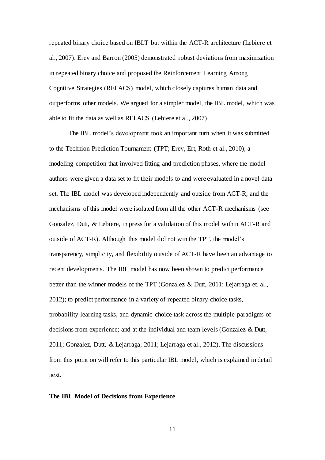repeated binary choice based on IBLT but within the ACT-R architecture (Lebiere et al., 2007). Erev and Barron (2005) demonstrated robust deviations from maximization in repeated binary choice and proposed the Reinforcement Learning Among Cognitive Strategies (RELACS) model, which closely captures human data and outperforms other models. We argued for a simpler model, the IBL model, which was able to fit the data as well as RELACS (Lebiere et al., 2007).

The IBL model's development took an important turn when it was submitted to the Technion Prediction Tournament (TPT; Erev, Ert, Roth et al., 2010), a modeling competition that involved fitting and prediction phases, where the model authors were given a data set to fit their models to and were evaluated in a novel data set. The IBL model was developed independently and outside from ACT-R, and the mechanisms of this model were isolated from all the other ACT-R mechanisms (see Gonzalez, Dutt, & Lebiere, in press for a validation of this model within ACT-R and outside of ACT-R). Although this model did not win the TPT, the model's transparency, simplicity, and flexibility outside of ACT-R have been an advantage to recent developments. The IBL model has now been shown to predict performance better than the winner models of the TPT (Gonzalez & Dutt, 2011; Lejarraga et. al., 2012); to predict performance in a variety of repeated binary-choice tasks, probability-learning tasks, and dynamic choice task across the multiple paradigms of decisions from experience; and at the individual and team levels (Gonzalez & Dutt, 2011; Gonzalez, Dutt, & Lejarraga, 2011; Lejarraga et al., 2012). The discussions from this point on will refer to this particular IBL model, which is explained in detail next.

### **The IBL Model of Decisions from Experience**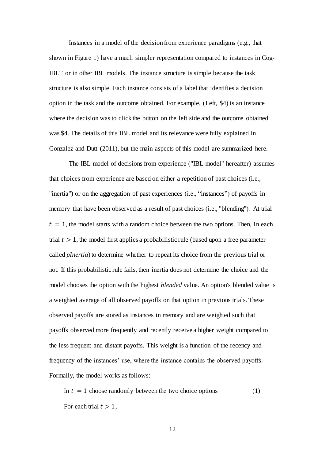Instances in a model of the decision from experience paradigms (e.g., that shown in Figure 1) have a much simpler representation compared to instances in Cog-IBLT or in other IBL models. The instance structure is simple because the task structure is also simple. Each instance consists of a label that identifies a decision option in the task and the outcome obtained. For example, (Left, \$4) is an instance where the decision was to click the button on the left side and the outcome obtained was \$4. The details of this IBL model and its relevance were fully explained in Gonzalez and Dutt (2011), but the main aspects of this model are summarized here.

The IBL model of decisions from experience ("IBL model" hereafter) assumes that choices from experience are based on either a repetition of past choices (i.e., "inertia") or on the aggregation of past experiences (i.e., "instances") of payoffs in memory that have been observed as a result of past choices (i.e., "blending"). At trial  $t = 1$ , the model starts with a random choice between the two options. Then, in each trial  $t > 1$ , the model first applies a probabilistic rule (based upon a free parameter called *pInertia*) to determine whether to repeat its choice from the previous trial or not. If this probabilistic rule fails, then inertia does not determine the choice and the model chooses the option with the highest *blended* value. An option's blended value is a weighted average of all observed payoffs on that option in previous trials. These observed payoffs are stored as instances in memory and are weighted such that payoffs observed more frequently and recently receive a higher weight compared to the less frequent and distant payoffs. This weight is a function of the recency and frequency of the instances' use, where the instance contains the observed payoffs. Formally, the model works as follows:

In  $t = 1$  choose randomly between the two choice options (1) For each trial  $t > 1$ ,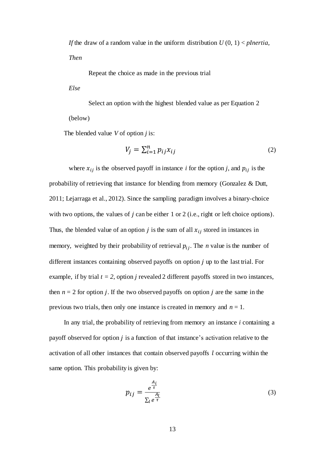*If* the draw of a random value in the uniform distribution *U* (0, 1) < *pInertia*,

*Then* 

Repeat the choice as made in the previous trial

*Else*

Select an option with the highest blended value as per Equation 2 (below)

The blended value *V* of option *j* is:

$$
V_j = \sum_{i=1}^n p_{ij} x_{ij} \tag{2}
$$

where  $x_{ij}$  is the observed payoff in instance *i* for the option *j*, and  $p_{ij}$  is the probability of retrieving that instance for blending from memory (Gonzalez & Dutt, 2011; Lejarraga et al., 2012). Since the sampling paradigm involves a binary-choice with two options, the values of  $j$  can be either 1 or 2 (i.e., right or left choice options). Thus, the blended value of an option j is the sum of all  $x_{ij}$  stored in instances in memory, weighted by their probability of retrieval  $p_{ij}$ . The *n* value is the number of different instances containing observed payoffs on option  $j$  up to the last trial. For example, if by trial  $t = 2$ , option *j* revealed 2 different payoffs stored in two instances, then  $n = 2$  for option *j*. If the two observed payoffs on option *j* are the same in the previous two trials, then only one instance is created in memory and *n* = 1.

In any trial, the probability of retrieving from memory an instance *i* containing a payoff observed for option  $j$  is a function of that instance's activation relative to the activation of all other instances that contain observed payoffs  $l$  occurring within the same option. This probability is given by:

$$
p_{ij} = \frac{e^{\frac{A_i}{\tau}}}{\sum_l e^{\frac{A_l}{\tau}}}
$$
 (3)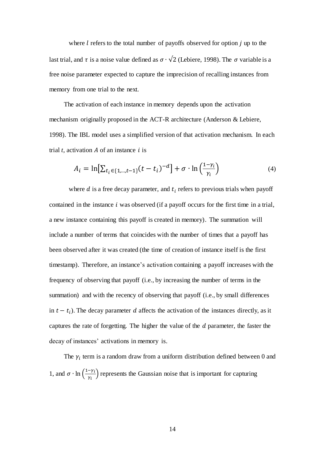where  $l$  refers to the total number of payoffs observed for option  $j$  up to the last trial, and  $\tau$  is a noise value defined as  $\sigma \cdot \sqrt{2}$  (Lebiere, 1998). The  $\sigma$  variable is a free noise parameter expected to capture the imprecision of recalling instances from memory from one trial to the next.

The activation of each instance in memory depends upon the activation mechanism originally proposed in the ACT-R architecture (Anderson & Lebiere, 1998). The IBL model uses a simplified version of that activation mechanism. In each trial  $t$ , activation  $A$  of an instance  $i$  is

$$
A_{i} = \ln[\sum_{t_{i} \in \{1, \dots, t-1\}} (t - t_{i})^{-d}] + \sigma \cdot \ln\left(\frac{1 - \gamma_{i}}{\gamma_{i}}\right)
$$
(4)

where  $d$  is a free decay parameter, and  $t_i$  refers to previous trials when payoff contained in the instance  $i$  was observed (if a payoff occurs for the first time in a trial, a new instance containing this payoff is created in memory). The summation will include a number of terms that coincides with the number of times that a payoff has been observed after it was created (the time of creation of instance itself is the first timestamp). Therefore, an instance's activation containing a payoff increases with the frequency of observing that payoff (i.e., by increasing the number of terms in the summation) and with the recency of observing that payoff (i.e., by small differences in  $t - t_i$ ). The decay parameter d affects the activation of the instances directly, as it captures the rate of forgetting. The higher the value of the  $d$  parameter, the faster the decay of instances' activations in memory is.

The  $\gamma_i$  term is a random draw from a uniform distribution defined between 0 and 1, and  $\sigma \cdot \ln \left( \frac{1}{1} \right)$  $(\frac{\gamma_i}{\gamma_i})$  represents the Gaussian noise that is important for capturing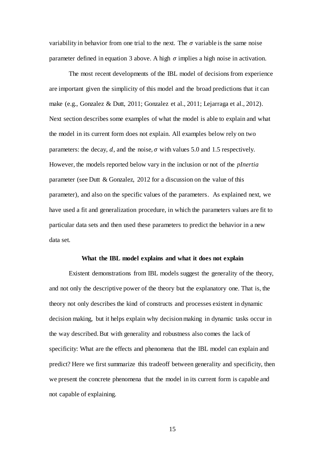variability in behavior from one trial to the next. The  $\sigma$  variable is the same noise parameter defined in equation 3 above. A high  $\sigma$  implies a high noise in activation.

The most recent developments of the IBL model of decisions from experience are important given the simplicity of this model and the broad predictions that it can make (e.g., Gonzalez & Dutt, 2011; Gonzalez et al., 2011; Lejarraga et al., 2012). Next section describes some examples of what the model is able to explain and what the model in its current form does not explain. All examples below rely on two parameters: the decay, d, and the noise,  $\sigma$  with values 5.0 and 1.5 respectively. However, the models reported below vary in the inclusion or not of the *pInertia* parameter (see Dutt & Gonzalez, 2012 for a discussion on the value of this parameter), and also on the specific values of the parameters. As explained next, we have used a fit and generalization procedure, in which the parameters values are fit to particular data sets and then used these parameters to predict the behavior in a new data set.

### **What the IBL model explains and what it does not explain**

Existent demonstrations from IBL models suggest the generality of the theory, and not only the descriptive power of the theory but the explanatory one. That is, the theory not only describes the kind of constructs and processes existent in dynamic decision making, but it helps explain why decision making in dynamic tasks occur in the way described. But with generality and robustness also comes the lack of specificity: What are the effects and phenomena that the IBL model can explain and predict? Here we first summarize this tradeoff between generality and specificity, then we present the concrete phenomena that the model in its current form is capable and not capable of explaining.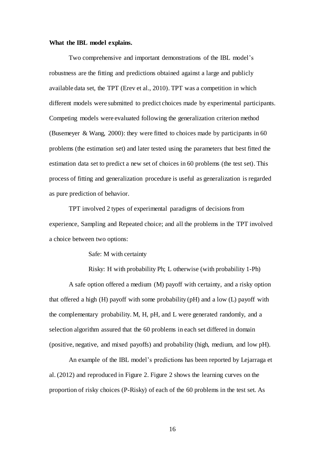### **What the IBL model explains.**

Two comprehensive and important demonstrations of the IBL model's robustness are the fitting and predictions obtained against a large and publicly available data set, the TPT (Erev et al., 2010). TPT was a competition in which different models were submitted to predict choices made by experimental participants. Competing models were evaluated following the generalization criterion method (Busemeyer & Wang, 2000): they were fitted to choices made by participants in 60 problems (the estimation set) and later tested using the parameters that best fitted the estimation data set to predict a new set of choices in 60 problems (the test set). This process of fitting and generalization procedure is useful as generalization is regarded as pure prediction of behavior.

TPT involved 2 types of experimental paradigms of decisions from experience, Sampling and Repeated choice; and all the problems in the TPT involved a choice between two options:

Safe: M with certainty

Risky: H with probability Ph; L otherwise (with probability 1-Ph) A safe option offered a medium (M) payoff with certainty, and a risky option that offered a high (H) payoff with some probability (pH) and a low (L) payoff with the complementary probability. M, H, pH, and L were generated randomly, and a selection algorithm assured that the 60 problems in each set differed in domain (positive, negative, and mixed payoffs) and probability (high, medium, and low pH).

An example of the IBL model's predictions has been reported by Lejarraga et al. (2012) and reproduced in Figure 2. Figure 2 shows the learning curves on the proportion of risky choices (P-Risky) of each of the 60 problems in the test set. As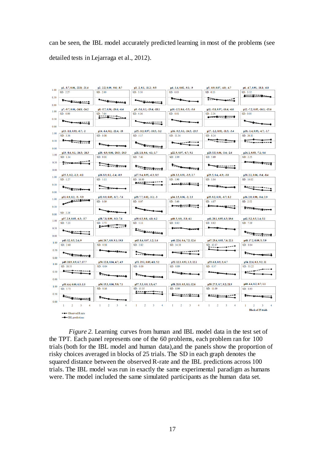can be seen, the IBL model accurately predicted learning in most of the problems (see detailed tests in Lejarraga et al., 2012).

| p1.-8.7, 0.06, -22.8; -21.4           | p2.-2.2, 0.09, -9.6; -8.7          | p3. -2, 0.1, -11.2; -9.5     | p4.-1.4, 0.02, -9.1; -9            | p5. -0.9, 0.07, -4.8; -4.7  | p6. -4.7, 0.91, -18.1; -6.8               |
|---------------------------------------|------------------------------------|------------------------------|------------------------------------|-----------------------------|-------------------------------------------|
| SD: 2.27                              | SD: 2.00                           | SD: 3.50                     | SD: 0.03                           | SD: 0.15                    | SD: 3.52<br><b>Andrew Arms Adventurer</b> |
| فسنعتبض                               |                                    |                              | $\overline{\phantom{a}}$           | فتتعصص                      |                                           |
| p7. -9.7, 0.06, -24.8; -24.2          | p8. -5.7, 0.96, -20.6; -6.4        | p9. -5.6, 0.1, -19.4; -18.1  | p10. -2.5, 0.6, -5.5; -3.6         | p11.-5.8, 0.97, -16.4; -6.6 | p12.-7.2, 0.05, -16.1; -15.6              |
| SD: 0.90                              | SD: 7.64<br><u>ration</u>          | SD: 4.16                     | SD: 0.01                           | SD: 2.24<br><del></del>     | SD: 0.05                                  |
| $\overline{\phantom{a}}$              |                                    |                              |                                    |                             | $\overline{\phantom{a}}$                  |
| p13.-1.8, 0.93, -6.7; -2              | p14. -6.4, 0.2, -22.4; -18         | p15. -3.3, 0.97, -10.5; -3.2 | p16. -9.5, 0.1, -24.5; -23.5       | p17.-2.2, 0.92, -11.5; -3.4 | p18.-1.4, 0.93, -4.7; -1.7                |
| SD: 3.36                              | SD: 0.08                           | SD: 5.17                     | SD: 11.34                          | SD: 8.24                    | SD: 26.11                                 |
|                                       | سعشت                               | <del>استقلاب ع</del> مری     | $-1$                               |                             | $\leftarrow$                              |
| p19. -8.6, 0.1, -26.5; -26.3          | p20. -6.9, 0.06, -20.5; -20.3      | p21.1.8, 0.6, -4.1; 1.7      | p22.9, 0.97, -6.7; 9.1             | p23.5.5, 0.06, -3.4; -2.6   | p24.1, 0.93, -7.1; 0.6                    |
| SD: 1.34                              | SD: 9.01                           | SD: 7.41                     | SD: 3.99                           | SD: 5.69                    | SD: 2.25                                  |
| $\equiv$                              |                                    | <del>استقست</del> ت          | <del>1 - - ا - - - - - - - -</del> |                             | $+ - + - + - + -$                         |
| p25.3, 0.2, -1.3; -0.1                | p26.8.9, 0.1, -1.4; -0.9           | p27.9.4, 0.95, -6.3; 8.5     | p28.3.3, 0.91, -3.5; 2.7           | $p29.5, 0.4, -6.9; -3.8$    | p30.2.1, 0.06, -9.4; -8.4                 |
| SD: 1.27                              | SD: 5.11                           | SD: 16.80                    | SD: 5.90                           | SD: 1.04                    | SD: 14.02                                 |
| سهستنقرتها                            | <del></del>                        | حسه                          | <u>.</u>                           | <del>receptions and</del>   |                                           |
| p31.0.9, 0.2, -5; -5.3                | p32.9.9, 0.05, -8.7; -7.6          | p33.7.7, 0.02, -3.1; -3      | p34.2.5, 0.96, -2; 2.3             | p35.9.2, 0.91, -0.7; 8.2    | p36.2.9, 0.98, -9.4; 2.9                  |
| وسستهششته يحتف                        | SD: 0.09                           | SD: 0.07                     | SD: 5.60                           | SD: 4.87                    | SD: 2.52                                  |
|                                       |                                    | سعسع                         |                                    | <b>.</b>                    | <b>.</b>                                  |
| SD: 2.28<br>p37.2.9, 0.05, -6.5; -5.7 | p38, 7.8, 0.99, -9.3; 7.6          | p39.6.5, 0.8, -4.8; 6.2      | p40.5, 0.9, -3.8; 4.1              | p41.20.1, 0.95, 6.5; 19.6   | p42.5.2, 0.5, 1.4; 5.1                    |
| SD: 7.23                              | SD: 3.72<br>$2 - 1 - 1 - 1$        | SD: 5.11                     | SD: 0.82                           | SD: 0.82                    | SD: 7.19                                  |
| $\sim$                                |                                    | أشتياستين                    |                                    |                             |                                           |
| p43.12, 0.5, 2.4; 9                   | p44.20.7, 0.9, 9.1; 19.8           | p45.8.4, 0.07, 1.2; 1.6      | p46.22.6, 0.4, 7.2; 12.4           | p47.23.4, 0.93, 7.6; 22.1   | p48.17.2, 0.09, 5; 5.9                    |
| SD: 2.60                              | SD: 0.18                           | SD: 2.82                     | SD: 14.50                          | SD: 42.07                   | SD: 0.04                                  |
| <b>1---1----1----</b>                 | <del>- 1 - 1 - 1 - 1 - 1 - 1</del> |                              | <b></b>                            |                             | سمت                                       |
| p49.18.9, 0.9, 6.7; 17.7              | p50.12.8, 0.04, 4.7; 4.9           | p51.19.1, 0.03, 4.8; 5.2     | p52.12.3, 0.91, 1.3; 12.1          | p53.6.8, 0.9, 3; 6.7        | p54.22.6, 0.3, 9.2; 11                    |
| SD: 18.55                             | SD: 0.04                           | SD: 0.00                     | SD: 0.89                           | SD: 0.37                    | SD: 53.22                                 |
|                                       | $\overline{\phantom{a}}$           | وسسواسب وسورع                | ستعتب                              |                             |                                           |
| p55.6.4, 0.09, 0.5; 1.5               | p56.15.3, 0.06, 5.9; 7.1           | p57.5.3, 0.9, 1.5; 4.7       | p58.21.9, 0.5, 8.1; 12.6           | p59.27.5, 0.7, 9.2; 21.9    | p60.4.4, 0.2, 0.7; 1.1                    |
| SD: 5.73                              | SD: 0.16                           | SD: 15.35                    | SD: 8.99                           | SD: 11.09                   | SD: 0.93                                  |
|                                       |                                    |                              | . <u>.</u>                         | <b>Arrow</b><br>----        |                                           |
|                                       |                                    |                              |                                    |                             |                                           |

*Figure 2.* Learning curves from human and IBL model data in the test set of the TPT. Each panel represents one of the 60 problems, each problem ran for 100 trials (both for the IBL model and human data),and the panels show the proportion of risky choices averaged in blocks of 25 trials. The SD in each graph denotes the squared distance between the observed R-rate and the IBL predictions across 100 trials. The IBL model was run in exactly the same experimental paradigm as humans were. The model included the same simulated participants as the human data set.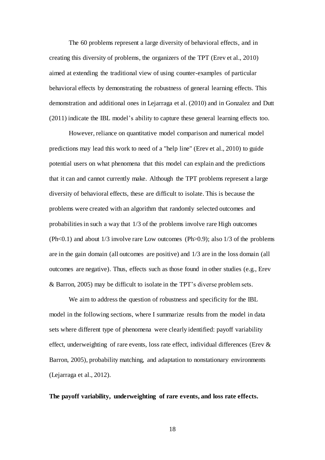The 60 problems represent a large diversity of behavioral effects, and in creating this diversity of problems, the organizers of the TPT (Erev et al., 2010) aimed at extending the traditional view of using counter-examples of particular behavioral effects by demonstrating the robustness of general learning effects. This demonstration and additional ones in Lejarraga et al. (2010) and in Gonzalez and Dutt (2011) indicate the IBL model's ability to capture these general learning effects too.

However, reliance on quantitative model comparison and numerical model predictions may lead this work to need of a "help line" (Erev et al., 2010) to guide potential users on what phenomena that this model can explain and the predictions that it can and cannot currently make. Although the TPT problems represent a large diversity of behavioral effects, these are difficult to isolate. This is because the problems were created with an algorithm that randomly selected outcomes and probabilitiesin such a way that 1/3 of the problems involve rare High outcomes  $(Ph<0.1)$  and about  $1/3$  involve rare Low outcomes  $(Ph>0.9)$ ; also  $1/3$  of the problems are in the gain domain (all outcomes are positive) and 1/3 are in the loss domain (all outcomes are negative). Thus, effects such as those found in other studies (e.g., Erev & Barron, 2005) may be difficult to isolate in the TPT's diverse problem sets.

We aim to address the question of robustness and specificity for the IBL model in the following sections, where I summarize results from the model in data sets where different type of phenomena were clearly identified: payoff variability effect, underweighting of rare events, loss rate effect, individual differences (Erev  $\&$ Barron, 2005), probability matching, and adaptation to nonstationary environments (Lejarraga et al., 2012).

# **The payoff variability, underweighting of rare events, and loss rate effects.**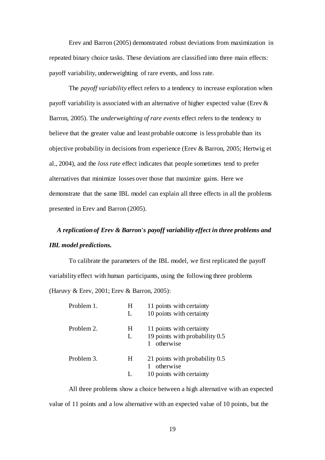Erev and Barron (2005) demonstrated robust deviations from maximization in repeated binary choice tasks. These deviations are classified into three main effects: payoff variability, underweighting of rare events, and loss rate.

The *payoff variability* effect refers to a tendency to increase exploration when payoff variability is associated with an alternative of higher expected value (Erev & Barron, 2005). The *underweighting of rare events* effect refers to the tendency to believe that the greater value and least probable outcome is less probable than its objective probability in decisions from experience (Erev & Barron, 2005; Hertwig et al., 2004), and the *loss rate* effect indicates that people sometimes tend to prefer alternatives that minimize losses over those that maximize gains. Here we demonstrate that the same IBL model can explain all three effects in all the problems presented in Erev and Barron (2005).

# *A replication of Erev & Barron's payoff variability effect in three problems and IBL model predictions.*

To calibrate the parameters of the IBL model, we first replicated the payoff variability effect with human participants, using the following three problems (Haruvy & Erev, 2001; Erev & Barron, 2005):

| Problem 1. | H<br>L | 11 points with certainty<br>10 points with certainty                    |
|------------|--------|-------------------------------------------------------------------------|
| Problem 2. | H<br>L | 11 points with certainty<br>19 points with probability 0.5<br>otherwise |
| Problem 3. | H<br>L | 21 points with probability 0.5<br>otherwise<br>10 points with certainty |

All three problems show a choice between a high alternative with an expected value of 11 points and a low alternative with an expected value of 10 points, but the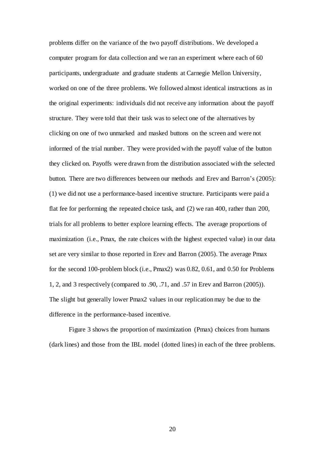problems differ on the variance of the two payoff distributions. We developed a computer program for data collection and we ran an experiment where each of 60 participants, undergraduate and graduate students at Carnegie Mellon University, worked on one of the three problems. We followed almost identical instructions as in the original experiments: individuals did not receive any information about the payoff structure. They were told that their task was to select one of the alternatives by clicking on one of two unmarked and masked buttons on the screen and were not informed of the trial number. They were provided with the payoff value of the button they clicked on. Payoffs were drawn from the distribution associated with the selected button. There are two differences between our methods and Erev and Barron's (2005): (1) we did not use a performance-based incentive structure. Participants were paid a flat fee for performing the repeated choice task, and (2) we ran 400, rather than 200, trials for all problems to better explore learning effects. The average proportions of maximization (i.e., Pmax, the rate choices with the highest expected value) in our data set are very similar to those reported in Erev and Barron (2005). The average Pmax for the second 100-problem block (i.e., Pmax2) was 0.82, 0.61, and 0.50 for Problems 1, 2, and 3 respectively (compared to .90, .71, and .57 in Erev and Barron (2005)). The slight but generally lower Pmax2 values in our replication may be due to the difference in the performance-based incentive.

Figure 3 shows the proportion of maximization (Pmax) choices from humans (dark lines) and those from the IBL model (dotted lines) in each of the three problems.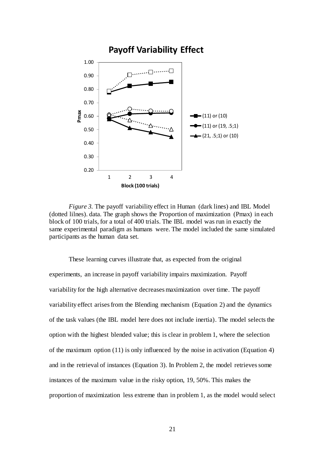

*Figure 3.* The payoff variability effect in Human (dark lines) and IBL Model (dotted lilnes). data. The graph shows the Proportion of maximization (Pmax) in each block of 100 trials, for a total of 400 trials. The IBL model was run in exactly the same experimental paradigm as humans were. The model included the same simulated participants as the human data set.

These learning curves illustrate that, as expected from the original experiments, an increase in payoff variability impairs maximization. Payoff variability for the high alternative decreases maximization over time. The payoff variability effect arises from the Blending mechanism (Equation 2) and the dynamics of the task values (the IBL model here does not include inertia). The model selects the option with the highest blended value; this is clear in problem 1, where the selection of the maximum option (11) is only influenced by the noise in activation (Equation 4) and in the retrieval of instances (Equation 3). In Problem 2, the model retrieves some instances of the maximum value in the risky option, 19, 50%. This makes the proportion of maximization less extreme than in problem 1, as the model would select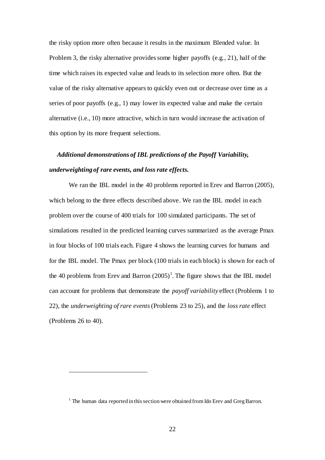the risky option more often because it results in the maximum Blended value. In Problem 3, the risky alternative provides some higher payoffs (e.g., 21), half of the time which raises its expected value and leads to its selection more often. But the value of the risky alternative appears to quickly even out or decrease over time as a series of poor payoffs (e.g., 1) may lower its expected value and make the certain alternative (i.e., 10) more attractive, which in turn would increase the activation of this option by its more frequent selections.

# *Additional demonstrations of IBL predictions of the Payoff Variability, underweighting of rare events, and loss rate effects.*

We ran the IBL model in the 40 problems reported in Erev and Barron (2005), which belong to the three effects described above. We ran the IBL model in each problem over the course of 400 trials for 100 simulated participants. The set of simulations resulted in the predicted learning curves summarized as the average Pmax in four blocks of 100 trials each. Figure 4 shows the learning curves for humans and for the IBL model. The Pmax per block (100 trials in each block) is shown for each of the 40 problems from Erev and Barron  $(2005)^1$ . The figure shows that the IBL model can account for problems that demonstrate the *payoff variability* effect (Problems 1 to 22), the *underweighting of rare events*(Problems 23 to 25), and the *loss rate* effect (Problems 26 to 40).

 $\overline{a}$ 

 $1$  The human data reported in this section were obtained from Ido Erev and Greg Barron.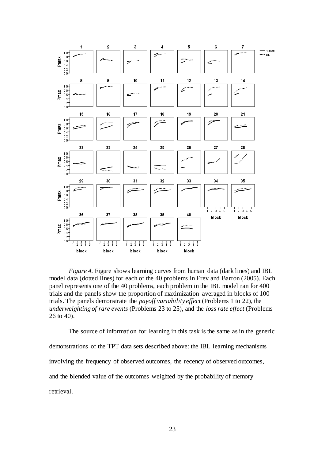

*Figure 4.* Figure shows learning curves from human data (dark lines) and IBL model data (dotted lines) for each of the 40 problems in Erev and Barron (2005). Each panel represents one of the 40 problems, each problem in the IBL model ran for 400 trials and the panels show the proportion of maximization averaged in blocks of 100 trials. The panels demonstrate the *payoff variability effect* (Problems 1 to 22), the *underweighting of rare events* (Problems 23 to 25), and the *loss rate effect* (Problems 26 to 40).

The source of information for learning in this task is the same as in the generic demonstrations of the TPT data sets described above: the IBL learning mechanisms involving the frequency of observed outcomes, the recency of observed outcomes, and the blended value of the outcomes weighted by the probability of memory retrieval.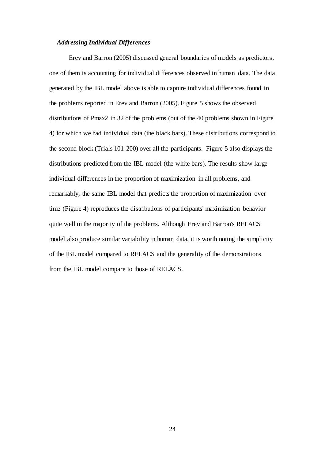# *Addressing Individual Differences*

Erev and Barron (2005) discussed general boundaries of models as predictors, one of them is accounting for individual differences observed in human data. The data generated by the IBL model above is able to capture individual differences found in the problems reported in Erev and Barron (2005). Figure 5 shows the observed distributions of Pmax2 in 32 of the problems (out of the 40 problems shown in Figure 4) for which we had individual data (the black bars). These distributions correspond to the second block (Trials 101-200) over all the participants. Figure 5 also displays the distributions predicted from the IBL model (the white bars). The results show large individual differences in the proportion of maximization in all problems, and remarkably, the same IBL model that predicts the proportion of maximization over time (Figure 4) reproduces the distributions of participants' maximization behavior quite well in the majority of the problems. Although Erev and Barron's RELACS model also produce similar variability in human data, it is worth noting the simplicity of the IBL model compared to RELACS and the generality of the demonstrations from the IBL model compare to those of RELACS.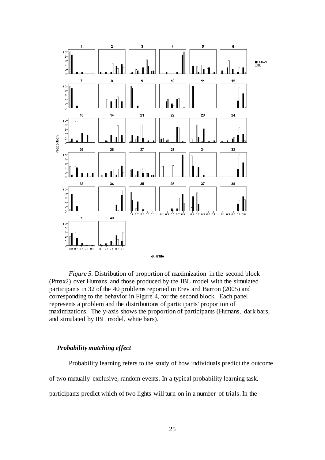

*Figure 5.* Distribution of proportion of maximization in the second block (Pmax2) over Humans and those produced by the IBL model with the simulated participants in 32 of the 40 problems reported in Erev and Barron (2005) and corresponding to the behavior in Figure 4, for the second block. Each panel represents a problem and the distributions of participants' proportion of maximizations. The y-axis shows the proportion of participants (Humans, dark bars, and simulated by IBL model, white bars).

## *Probability matching effect*

Probability learning refers to the study of how individuals predict the outcome of two mutually exclusive, random events. In a typical probability learning task, participants predict which of two lights will turn on in a number of trials. In the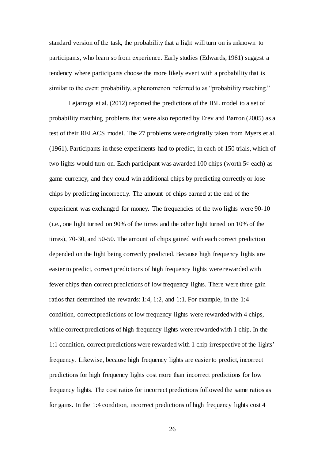standard version of the task, the probability that a light will turn on is unknown to participants, who learn so from experience. Early studies (Edwards, 1961) suggest a tendency where participants choose the more likely event with a probability that is similar to the event probability, a phenomenon referred to as "probability matching."

Lejarraga et al. (2012) reported the predictions of the IBL model to a set of probability matching problems that were also reported by Erev and Barron (2005) as a test of their RELACS model. The 27 problems were originally taken from Myers et al. (1961). Participants in these experiments had to predict, in each of 150 trials, which of two lights would turn on. Each participant was awarded 100 chips (worth  $5¢$  each) as game currency, and they could win additional chips by predicting correctly or lose chips by predicting incorrectly. The amount of chips earned at the end of the experiment was exchanged for money. The frequencies of the two lights were 90-10 (i.e., one light turned on 90% of the times and the other light turned on 10% of the times), 70-30, and 50-50. The amount of chips gained with each correct prediction depended on the light being correctly predicted. Because high frequency lights are easier to predict, correct predictions of high frequency lights were rewarded with fewer chips than correct predictions of low frequency lights. There were three gain ratios that determined the rewards: 1:4, 1:2, and 1:1. For example, in the 1:4 condition, correct predictions of low frequency lights were rewarded with 4 chips, while correct predictions of high frequency lights were rewarded with 1 chip. In the 1:1 condition, correct predictions were rewarded with 1 chip irrespective of the lights' frequency. Likewise, because high frequency lights are easier to predict, incorrect predictions for high frequency lights cost more than incorrect predictions for low frequency lights. The cost ratios for incorrect predictions followed the same ratios as for gains. In the 1:4 condition, incorrect predictions of high frequency lights cost 4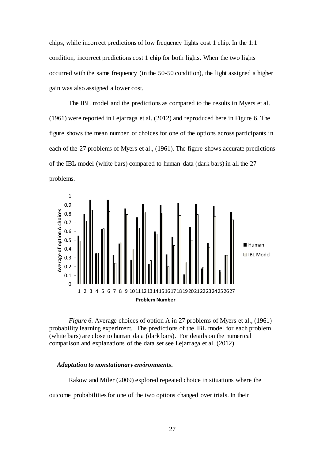chips, while incorrect predictions of low frequency lights cost 1 chip. In the 1:1 condition, incorrect predictions cost 1 chip for both lights. When the two lights occurred with the same frequency (in the 50-50 condition), the light assigned a higher gain was also assigned a lower cost.

The IBL model and the predictions as compared to the results in Myers et al. (1961) were reported in Lejarraga et al. (2012) and reproduced here in Figure 6. The figure shows the mean number of choices for one of the options across participants in each of the 27 problems of Myers et al., (1961). The figure shows accurate predictions of the IBL model (white bars) compared to human data (dark bars) in all the 27 problems.



*Figure 6.* Average choices of option A in 27 problems of Myers et al., (1961) probability learning experiment. The predictions of the IBL model for each problem (white bars) are close to human data (dark bars). For details on the numerical comparison and explanations of the data set see Lejarraga et al. (2012).

# *Adaptation to nonstationary environments.*

Rakow and Miler (2009) explored repeated choice in situations where the

outcome probabilities for one of the two options changed over trials. In their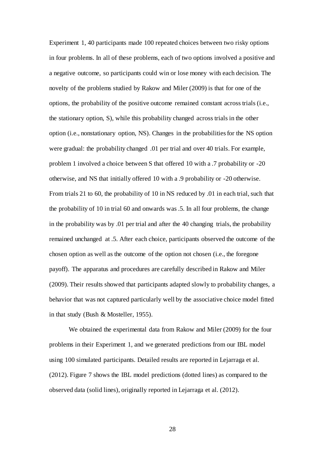Experiment 1, 40 participants made 100 repeated choices between two risky options in four problems. In all of these problems, each of two options involved a positive and a negative outcome, so participants could win or lose money with each decision. The novelty of the problems studied by Rakow and Miler (2009) is that for one of the options, the probability of the positive outcome remained constant across trials (i.e., the stationary option, S), while this probability changed across trials in the other option (i.e., nonstationary option, NS). Changes in the probabilities for the NS option were gradual: the probability changed .01 per trial and over 40 trials. For example, problem 1 involved a choice between S that offered 10 with a .7 probability or -20 otherwise, and NS that initially offered 10 with a .9 probability or -20 otherwise. From trials 21 to 60, the probability of 10 in NS reduced by .01 in each trial, such that the probability of 10 in trial 60 and onwards was .5. In all four problems, the change in the probability was by .01 per trial and after the 40 changing trials, the probability remained unchanged at .5. After each choice, participants observed the outcome of the chosen option as well as the outcome of the option not chosen (i.e., the foregone payoff). The apparatus and procedures are carefully described in Rakow and Miler (2009). Their results showed that participants adapted slowly to probability changes, a behavior that was not captured particularly well by the associative choice model fitted in that study (Bush & Mosteller, 1955).

We obtained the experimental data from Rakow and Miler (2009) for the four problems in their Experiment 1, and we generated predictions from our IBL model using 100 simulated participants. Detailed results are reported in Lejarraga et al. (2012). Figure 7 shows the IBL model predictions (dotted lines) as compared to the observed data (solid lines), originally reported in Lejarraga et al. (2012).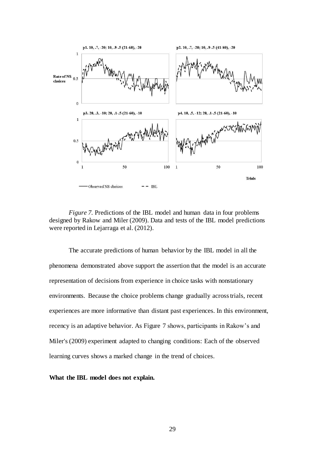

*Figure 7.* Predictions of the IBL model and human data in four problems designed by Rakow and Miler (2009). Data and tests of the IBL model predictions were reported in Lejarraga et al. (2012).

The accurate predictions of human behavior by the IBL model in all the phenomena demonstrated above support the assertion that the model is an accurate representation of decisions from experience in choice tasks with nonstationary environments. Because the choice problems change gradually across trials, recent experiences are more informative than distant past experiences. In this environment, recency is an adaptive behavior. As Figure 7 shows, participants in Rakow's and Miler's (2009) experiment adapted to changing conditions: Each of the observed learning curves shows a marked change in the trend of choices.

**What the IBL model does not explain.**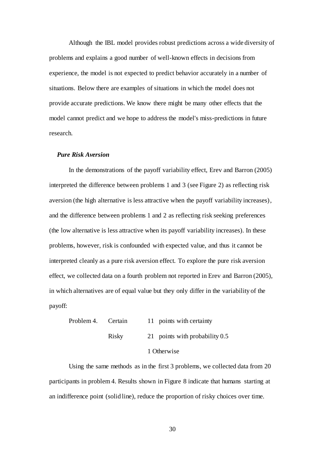Although the IBL model provides robust predictions across a wide diversity of problems and explains a good number of well-known effects in decisions from experience, the model is not expected to predict behavior accurately in a number of situations. Below there are examples of situations in which the model does not provide accurate predictions. We know there might be many other effects that the model cannot predict and we hope to address the model's miss-predictions in future research.

# *Pure Risk Aversion*

In the demonstrations of the payoff variability effect, Erev and Barron (2005) interpreted the difference between problems 1 and 3 (see Figure 2) as reflecting risk aversion (the high alternative is less attractive when the payoff variability increases), and the difference between problems 1 and 2 as reflecting risk seeking preferences (the low alternative is less attractive when its payoff variability increases). In these problems, however, risk is confounded with expected value, and thus it cannot be interpreted cleanly as a pure risk aversion effect. To explore the pure risk aversion effect, we collected data on a fourth problem not reported in Erev and Barron (2005), in which alternatives are of equal value but they only differ in the variability of the payoff:

| Problem 4. Certain |       | 11 points with certainty         |
|--------------------|-------|----------------------------------|
|                    | Risky | 21 points with probability $0.5$ |
|                    |       | 1 Otherwise                      |

Using the same methods as in the first 3 problems, we collected data from 20 participants in problem 4. Results shown in Figure 8 indicate that humans starting at an indifference point (solid line), reduce the proportion of risky choices over time.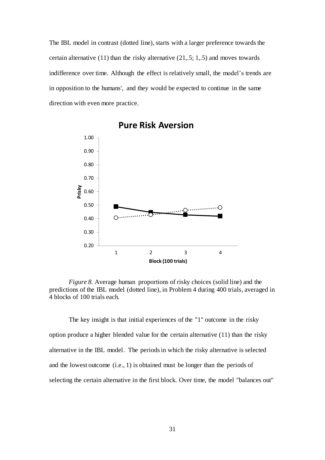The IBL model in contrast (dotted line), starts with a larger preference towards the certain alternative  $(11)$  than the risky alternative  $(21, 5; 1, 5)$  and moves towards indifference over time. Although the effect is relatively small, the model's trends are in opposition to the humans', and they would be expected to continue in the same direction with even more practice.



**Pure Risk Aversion**

*Figure 8.* Average human proportions of risky choices (solid line) and the predictions of the IBL model (dotted line), in Problem 4 during 400 trials, averaged in 4 blocks of 100 trials each.

The key insight is that initial experiences of the "1" outcome in the risky option produce a higher blended value for the certain alternative (11) than the risky alternative in the IBL model. The periods in which the risky alternative is selected and the lowest outcome (i.e., 1) is obtained must be longer than the periods of selecting the certain alternative in the first block. Over time, the model "balances out"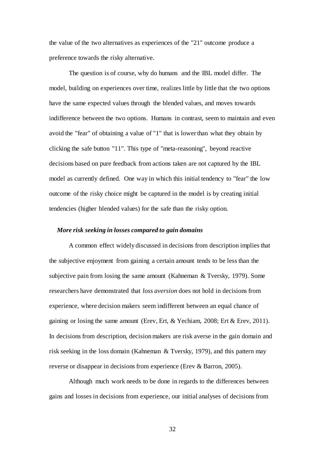the value of the two alternatives as experiences of the "21" outcome produce a preference towards the risky alternative.

The question is of course, why do humans and the IBL model differ. The model, building on experiences over time, realizes little by little that the two options have the same expected values through the blended values, and moves towards indifference between the two options. Humans in contrast, seem to maintain and even avoid the "fear" of obtaining a value of "1" that is lower than what they obtain by clicking the safe button "11". This type of "meta-reasoning", beyond reactive decisions based on pure feedback from actions taken are not captured by the IBL model as currently defined. One way in which this initial tendency to "fear" the low outcome of the risky choice might be captured in the model is by creating initial tendencies (higher blended values) for the safe than the risky option.

### *More risk seeking in losses compared to gain domains*

A common effect widely discussed in decisions from description implies that the subjective enjoyment from gaining a certain amount tends to be less than the subjective pain from losing the same amount (Kahneman & Tversky, 1979). Some researchers have demonstrated that *loss aversion* does not hold in decisions from experience, where decision makers seem indifferent between an equal chance of gaining or losing the same amount (Erev, Ert, & Yechiam, 2008; Ert & Erev, 2011). In decisions from description, decision makers are risk averse in the gain domain and risk seeking in the loss domain (Kahneman & Tversky, 1979), and this pattern may reverse or disappear in decisions from experience (Erev & Barron, 2005).

Although much work needs to be done in regards to the differences between gains and losses in decisions from experience, our initial analyses of decisions from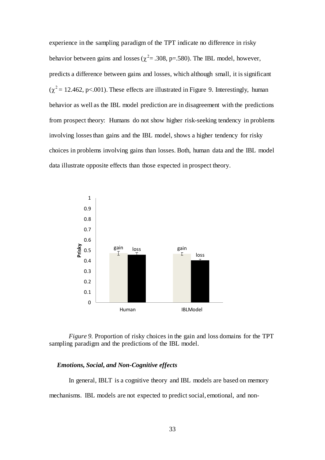experience in the sampling paradigm of the TPT indicate no difference in risky behavior between gains and losses ( $\chi^2$  = .308, p=.580). The IBL model, however, predicts a difference between gains and losses, which although small, it is significant  $(\chi^2 = 12.462, \text{ p} < 001)$ . These effects are illustrated in Figure 9. Interestingly, human behavior as well as the IBL model prediction are in disagreement with the predictions from prospect theory: Humans do not show higher risk-seeking tendency in problems involving losses than gains and the IBL model, shows a higher tendency for risky choices in problems involving gains than losses. Both, human data and the IBL model data illustrate opposite effects than those expected in prospect theory.



*Figure 9.* Proportion of risky choices in the gain and loss domains for the TPT sampling paradigm and the predictions of the IBL model.

# *Emotions, Social, and Non-Cognitive effects*

In general, IBLT is a cognitive theory and IBL models are based on memory mechanisms. IBL models are not expected to predict social, emotional, and non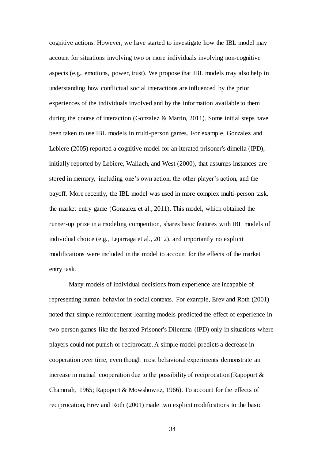cognitive actions. However, we have started to investigate how the IBL model may account for situations involving two or more individuals involving non-cognitive aspects (e.g., emotions, power, trust). We propose that IBL models may also help in understanding how conflictual social interactions are influenced by the prior experiences of the individuals involved and by the information available to them during the course of interaction (Gonzalez & Martin, 2011). Some initial steps have been taken to use IBL models in multi-person games. For example, Gonzalez and Lebiere (2005) reported a cognitive model for an iterated prisoner's dimella (IPD), initially reported by Lebiere, Wallach, and West (2000), that assumes instances are stored in memory, including one's own action, the other player's action, and the payoff. More recently, the IBL model was used in more complex multi-person task, the market entry game (Gonzalez et al., 2011). This model, which obtained the runner-up prize in a modeling competition, shares basic features with IBL models of individual choice (e.g., Lejarraga et al., 2012), and importantly no explicit modifications were included in the model to account for the effects of the market entry task.

Many models of individual decisions from experience are incapable of representing human behavior in social contexts. For example, Erev and Roth (2001) noted that simple reinforcement learning models predicted the effect of experience in two-person games like the Iterated Prisoner's Dilemma (IPD) only in situations where players could not punish or reciprocate. A simple model predicts a decrease in cooperation over time, even though most behavioral experiments demonstrate an increase in mutual cooperation due to the possibility of reciprocation (Rapoport  $\&$ Chammah, 1965; Rapoport & Mowshowitz, 1966). To account for the effects of reciprocation, Erev and Roth (2001) made two explicit modifications to the basic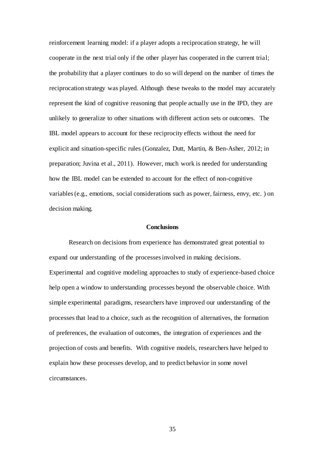reinforcement learning model: if a player adopts a reciprocation strategy, he will cooperate in the next trial only if the other player has cooperated in the current trial; the probability that a player continues to do so will depend on the number of times the reciprocation strategy was played. Although these tweaks to the model may accurately represent the kind of cognitive reasoning that people actually use in the IPD, they are unlikely to generalize to other situations with different action sets or outcomes. The IBL model appears to account for these reciprocity effects without the need for explicit and situation-specific rules (Gonzalez, Dutt, Martin, & Ben-Asher, 2012; in preparation; Juvina et al., 2011). However, much work is needed for understanding how the IBL model can be extended to account for the effect of non-cognitive variables (e.g., emotions, social considerations such as power, fairness, envy, etc. ) on decision making.

#### **Conclusions**

Research on decisions from experience has demonstrated great potential to expand our understanding of the processes involved in making decisions. Experimental and cognitive modeling approaches to study of experience-based choice help open a window to understanding processes beyond the observable choice. With simple experimental paradigms, researchers have improved our understanding of the processes that lead to a choice, such as the recognition of alternatives, the formation of preferences, the evaluation of outcomes, the integration of experiences and the projection of costs and benefits. With cognitive models, researchers have helped to explain how these processes develop, and to predict behavior in some novel circumstances.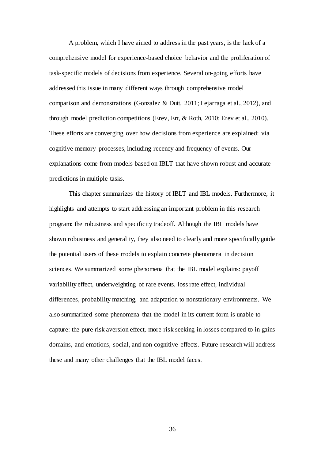A problem, which I have aimed to address in the past years, is the lack of a comprehensive model for experience-based choice behavior and the proliferation of task-specific models of decisions from experience. Several on-going efforts have addressed this issue in many different ways through comprehensive model comparison and demonstrations (Gonzalez & Dutt, 2011; Lejarraga et al., 2012), and through model prediction competitions (Erev, Ert, & Roth, 2010; Erev et al., 2010). These efforts are converging over how decisions from experience are explained: via cognitive memory processes, including recency and frequency of events. Our explanations come from models based on IBLT that have shown robust and accurate predictions in multiple tasks.

This chapter summarizes the history of IBLT and IBL models. Furthermore, it highlights and attempts to start addressing an important problem in this research program: the robustness and specificity tradeoff. Although the IBL models have shown robustness and generality, they also need to clearly and more specifically guide the potential users of these models to explain concrete phenomena in decision sciences. We summarized some phenomena that the IBL model explains: payoff variability effect, underweighting of rare events, loss rate effect, individual differences, probability matching, and adaptation to nonstationary environments. We also summarized some phenomena that the model in its current form is unable to capture: the pure risk aversion effect, more risk seeking in losses compared to in gains domains, and emotions, social, and non-cognitive effects. Future research will address these and many other challenges that the IBL model faces.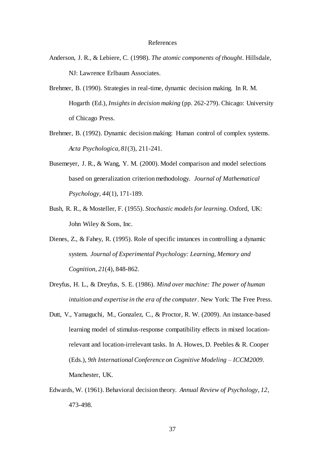#### References

- Anderson, J. R., & Lebiere, C. (1998). *The atomic components of thought*. Hillsdale, NJ: Lawrence Erlbaum Associates.
- Brehmer, B. (1990). Strategies in real-time, dynamic decision making. In R. M. Hogarth (Ed.), *Insights in decision making* (pp. 262-279). Chicago: University of Chicago Press.
- Brehmer, B. (1992). Dynamic decision making: Human control of complex systems. *Acta Psychologica, 81*(3), 211-241.
- Busemeyer, J. R., & Wang, Y. M. (2000). Model comparison and model selections based on generalization criterion methodology. *Journal of Mathematical Psychology, 44*(1), 171-189.
- Bush, R. R., & Mosteller, F. (1955). *Stochastic models for learning*. Oxford, UK: John Wiley & Sons, Inc.
- Dienes, Z., & Fahey, R. (1995). Role of specific instances in controlling a dynamic system. *Journal of Experimental Psychology: Learning, Memory and Cognition, 21*(4), 848-862.
- Dreyfus, H. L., & Dreyfus, S. E. (1986). *Mind over machine: The power of human intuition and expertise in the era of the computer*. New York: The Free Press.
- Dutt, V., Yamaguchi, M., Gonzalez, C., & Proctor, R. W. (2009). An instance-based learning model of stimulus-response compatibility effects in mixed locationrelevant and location-irrelevant tasks. In A. Howes, D. Peebles & R. Cooper (Eds.), *9th International Conference on Cognitive Modeling – ICCM2009*. Manchester, UK.
- Edwards, W. (1961). Behavioral decision theory. *Annual Review of Psychology, 12*, 473-498.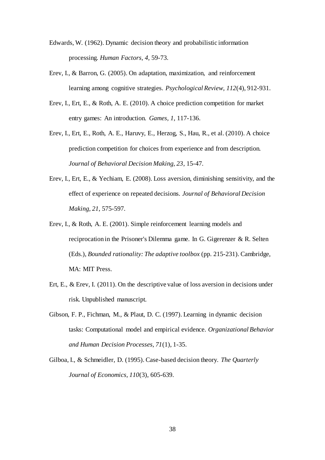- Edwards, W. (1962). Dynamic decision theory and probabilistic information processing. *Human Factors, 4*, 59-73.
- Erev, I., & Barron, G. (2005). On adaptation, maximization, and reinforcement learning among cognitive strategies. *Psychological Review, 112*(4), 912-931.
- Erev, I., Ert, E., & Roth, A. E. (2010). A choice prediction competition for market entry games: An introduction. *Games, 1*, 117-136.
- Erev, I., Ert, E., Roth, A. E., Haruvy, E., Herzog, S., Hau, R., et al. (2010). A choice prediction competition for choices from experience and from description. *Journal of Behavioral Decision Making, 23*, 15-47.
- Erev, I., Ert, E., & Yechiam, E. (2008). Loss aversion, diminishing sensitivity, and the effect of experience on repeated decisions. *Journal of Behavioral Decision Making, 21*, 575-597.
- Erev, I., & Roth, A. E. (2001). Simple reinforcement learning models and reciprocation in the Prisoner's Dilemma game. In G. Gigerenzer & R. Selten (Eds.), *Bounded rationality: The adaptive toolbox* (pp. 215-231). Cambridge, MA: MIT Press.
- Ert, E., & Erev, I. (2011). On the descriptive value of loss aversion in decisions under risk. Unpublished manuscript.
- Gibson, F. P., Fichman, M., & Plaut, D. C. (1997). Learning in dynamic decision tasks: Computational model and empirical evidence. *Organizational Behavior and Human Decision Processes, 71*(1), 1-35.
- Gilboa, I., & Schmeidler, D. (1995). Case-based decision theory. *The Quarterly Journal of Economics, 110*(3), 605-639.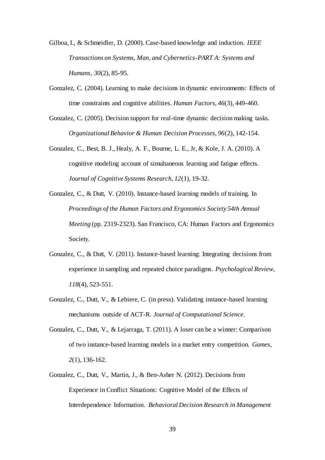Gilboa, I., & Schmeidler, D. (2000). Case-based knowledge and induction. *IEEE Transactions on Systems, Man, and Cybernetics-PART A: Systems and Humans, 30*(2), 85-95.

- Gonzalez, C. (2004). Learning to make decisions in dynamic environments: Effects of time constraints and cognitive abilities. *Human Factors, 46*(3), 449-460.
- Gonzalez, C. (2005). Decision support for real-time dynamic decision making tasks. *Organizational Behavior & Human Decision Processes, 96*(2), 142-154.
- Gonzalez, C., Best, B. J., Healy, A. F., Bourne, L. E., Jr, & Kole, J. A. (2010). A cognitive modeling account of simultaneous learning and fatigue effects. *Journal of Cognitive Systems Research, 12*(1), 19-32.
- Gonzalez, C., & Dutt, V. (2010). Instance-based learning models of training. In *Proceedings of the Human Factors and Ergonomics Society 54th Annual Meeting* (pp. 2319-2323). San Francisco, CA: Human Factors and Ergonomics Society.
- Gonzalez, C., & Dutt, V. (2011). Instance-based learning: Integrating decisions from experience in sampling and repeated choice paradigms. *Psychological Review, 118*(4), 523-551.
- Gonzalez, C., Dutt, V., & Lebiere, C. (in press). Validating instance-based learning mechanisms outside of ACT-R. *Journal of Computational Science*.
- Gonzalez, C., Dutt, V., & Lejarraga, T. (2011). A loser can be a winner: Comparison of two instance-based learning models in a market entry competition. *Games, 2*(1), 136-162.
- Gonzalez, C., Dutt, V., Martin, J., & Ben-Asher N. (2012). Decisions from Experience in Conflict Situations: Cognitive Model of the Effects of Interdependence Information. *Behavioral Decision Research in Management*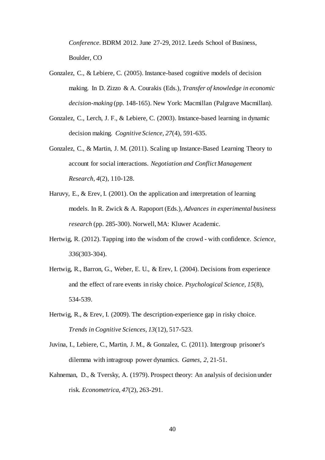*Conference.* BDRM 2012. June 27-29, 2012. Leeds School of Business, Boulder, CO

- Gonzalez, C., & Lebiere, C. (2005). Instance-based cognitive models of decision making. In D. Zizzo & A. Courakis (Eds.), *Transfer of knowledge in economic decision-making* (pp. 148-165). New York: Macmillan (Palgrave Macmillan).
- Gonzalez, C., Lerch, J. F., & Lebiere, C. (2003). Instance-based learning in dynamic decision making. *Cognitive Science, 27*(4), 591-635.
- Gonzalez, C., & Martin, J. M. (2011). Scaling up Instance-Based Learning Theory to account for social interactions. *Negotiation and Conflict Management Research, 4*(2), 110-128.
- Haruvy, E., & Erev, I. (2001). On the application and interpretation of learning models. In R. Zwick & A. Rapoport (Eds.), *Advances in experimental business research* (pp. 285-300). Norwell, MA: Kluwer Academic.
- Hertwig, R. (2012). Tapping into the wisdom of the crowd with confidence. *Science, 336*(303-304).
- Hertwig, R., Barron, G., Weber, E. U., & Erev, I. (2004). Decisions from experience and the effect of rare events in risky choice. *Psychological Science, 15*(8), 534-539.
- Hertwig, R., & Erev, I. (2009). The description-experience gap in risky choice. *Trends in Cognitive Sciences, 13*(12), 517-523.
- Juvina, I., Lebiere, C., Martin, J. M., & Gonzalez, C. (2011). Intergroup prisoner's dilemma with intragroup power dynamics. *Games, 2*, 21-51.
- Kahneman, D., & Tversky, A. (1979). Prospect theory: An analysis of decision under risk. *Econometrica, 47*(2), 263-291.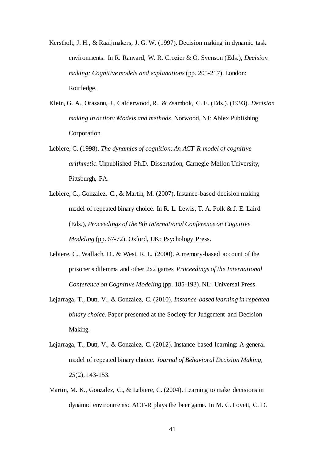- Kerstholt, J. H., & Raaijmakers, J. G. W. (1997). Decision making in dynamic task environments. In R. Ranyard, W. R. Crozier & O. Svenson (Eds.), *Decision making: Cognitive models and explanations* (pp. 205-217). London: Routledge.
- Klein, G. A., Orasanu, J., Calderwood, R., & Zsambok, C. E. (Eds.). (1993). *Decision making in action: Models and methods*. Norwood, NJ: Ablex Publishing Corporation.
- Lebiere, C. (1998). *The dynamics of cognition: An ACT-R model of cognitive arithmetic.* Unpublished Ph.D. Dissertation, Carnegie Mellon University, Pittsburgh, PA.
- Lebiere, C., Gonzalez, C., & Martin, M. (2007). Instance-based decision making model of repeated binary choice*.* In R. L. Lewis, T. A. Polk & J. E. Laird (Eds.), *Proceedings of the 8th International Conference on Cognitive Modeling* (pp. 67-72). Oxford, UK: Psychology Press.
- Lebiere, C., Wallach, D., & West, R. L. (2000). A memory-based account of the prisoner's dilemma and other 2x2 games *Proceedings of the International Conference on Cognitive Modeling* (pp. 185-193). NL: Universal Press.
- Lejarraga, T., Dutt, V., & Gonzalez, C. (2010). *Instance-based learning in repeated binary choice*. Paper presented at the Society for Judgement and Decision Making.
- Lejarraga, T., Dutt, V., & Gonzalez, C. (2012). Instance-based learning: A general model of repeated binary choice. *Journal of Behavioral Decision Making, 25*(2), 143-153.
- Martin, M. K., Gonzalez, C., & Lebiere, C. (2004). Learning to make decisions in dynamic environments: ACT-R plays the beer game*.* In M. C. Lovett, C. D.